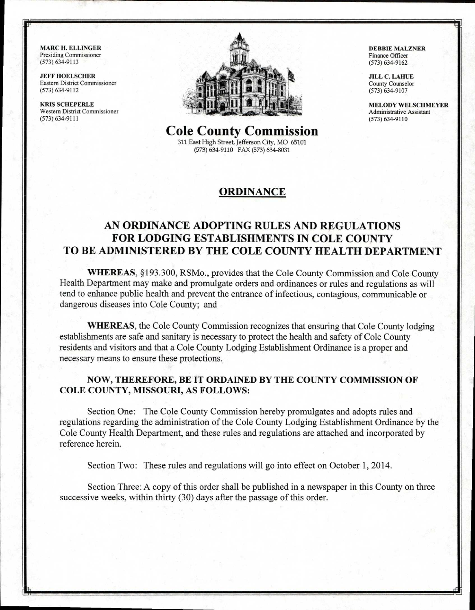**MARC H. ELLINGER**  Presiding Commissioner (573) 634-9113

**JEFF HOELSCHER**  Eastern District Commissioner (573) 634-9112

**KRIS SCHEPERLE**  Western District Commissioner (573) 634-9111



**Cole County Commission** 

311 East High Street, Jefferson City, MO 65101 (573) 634-9110 FAX (573) 634-8031

# **ORDINANCE**

**DEBBIE MALZNER**  Finance Officer (573) 634-9162

**JILL C. LAHUE**  County Counselor (573) 634-9107

**MELODY WELSCHMEYER**  Administrative Assistant (573) 634-9110

# **AN ORDINANCE ADOPTING RULES AND REGULATIONS FOR LODGING ESTABLISHMENTS IN COLE COUNTY TO BE ADMINISTERED BY THE COLE COUNTY HEALTH DEPARTMENT**

**WHEREAS, §193.300,** RSMo., provides that the Cole County Commission and Cole County Health Department may make and promulgate orders and ordinances or rules and regulations as will tend to enhance public health and prevent the entrance of infectious, contagious, communicable or dangerous diseases into Cole County; and

**WHEREAS,** the Cole County Commission recognizes that ensuring that Cole County lodging establishments are safe and sanitary is necessary to protect the health and safety of Cole County residents and visitors and that a Cole County Lodging Establishment Ordinance is a proper and necessary means to ensure these protections.

# **NOW, THEREFORE, BE IT ORDAINED BY THE COUNTY COMMISSION OF COLE COUNTY, MISSOURI, AS FOLLOWS:**

Section One: The Cole County Commission hereby promulgates and adopts rules and regulations regarding the administration of the Cole County Lodging Establishment Ordinance by the Cole County Health Department, and these rules and regulations are attached and incorporated by reference herein.

Section Two: These rules and regulations will go into effect on October 1, 2014.

Section Three: A copy of this order shall be published in a newspaper in this County on three successive weeks, within thirty (30) days after the passage of this order.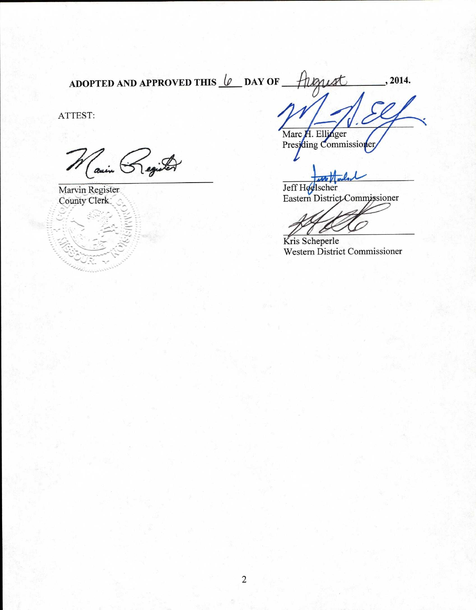ADOPTED AND APPROVED THIS <u>*6*</u> DAY OF <u>*fliggest* ... , 2014.</u>

ATTEST:

Register

Marvin Register County Clerk\_



Marc H. Ellynger Presiding Commissio

Jeff Høelscher Eastern Distric

Kris Scheperle Western District Commissioner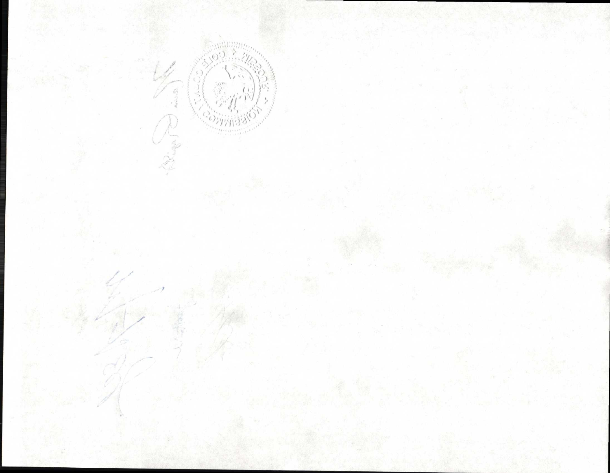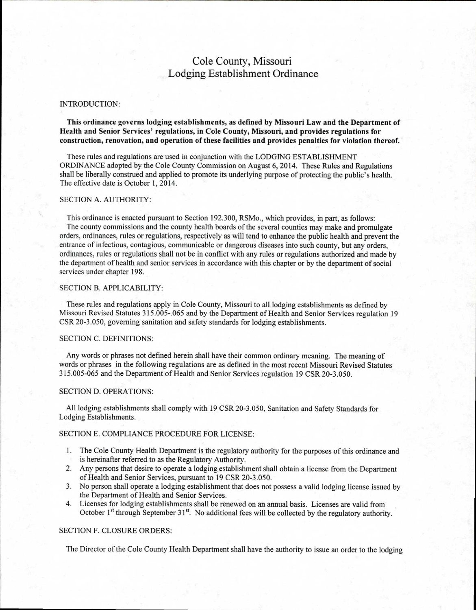# Cole County, Missouri Lodging Establishment Ordinance

#### **INTRODUCTION:**

**This ordinance governs lodging establishments, as defined by Missouri Law and the Department of Health and Senior Services' regulations, in Cole County, Missouri, and provides regulations for construction, renovation, and operation of these facilities and provides penalties for violation thereof.** 

These rules and regulations are used in conjunction with the LODGING ESTABLISHMENT ORDINANCE adopted by the Cole County Commission on August 6, 2014. These Rules and Regulations shall be liberally construed and applied to promote its underlying purpose of protecting the public's health. The effective date is October 1, 2014.

#### SECTION A. AUTHORITY:

This ordinance is enacted pursuant to Section 192.300, RSMo., which provides, in part, as follows: The county commissions and the county health boards of the several counties may make and promulgate orders, ordinances, rules or regulations, respectively as will tend to enhance the public health and prevent the entrance of infectious, contagious, communicable or dangerous diseases into such county, but any orders, ordinances, rules or regulations shall not be in conflict with any rules or regulations authorized and made by the department of health and senior services in accordance with this chapter or by the department of social services under chapter 198.

# SECTION B. APPLICABILITY:

These rules and regulations apply in Cole County, Missouri to all lodging establishments as defined by Missouri Revised Statutes 315.005-.065 and by the Department of Health and Senior Services regulation 19 CSR 20-3.050, governing sanitation and safety standards for lodging establishments.

#### SECTION C. DEFINITIONS:

Any words or phrases not defined herein shall have their common ordinary meaning. The meaning of words or phrases in the following regulations are as defined in the most recent Missouri Revised Statutes 315.005-065 and the Department of Health and Senior Services regulation 19 CSR 20-3.050.

### SECTION D. OPERATIONS:

All lodging establishments shall comply with 19 CSR 20-3.050, Sanitation and Safety Standards for Lodging Establishments.

#### SECTION E. COMPLIANCE PROCEDURE FOR LICENSE:

- 1. The Cole County Health Department is the regulatory authority for the purposes of this ordinance and is hereinafter referred to as the Regulatory Authority.
- 2. Any persons that desire to operate a lodging establishment shall obtain a license from the Department of Health and Senior Services, pursuant to 19 CSR 20-3.050.
- 3. No person shall operate a lodging establishment that does not possess a valid lodging license issued by the Department of Health and Senior Services.
- 4. Licenses for lodging establishments shall be renewed on an annual basis. Licenses are valid from October 1<sup>st</sup> through September 31<sup>st</sup>. No additional fees will be collected by the regulatory authority.

## SECTION F. CLOSURE ORDERS:

The Director of the Cole County Health Department shall have the authority to issue an order to the lodging